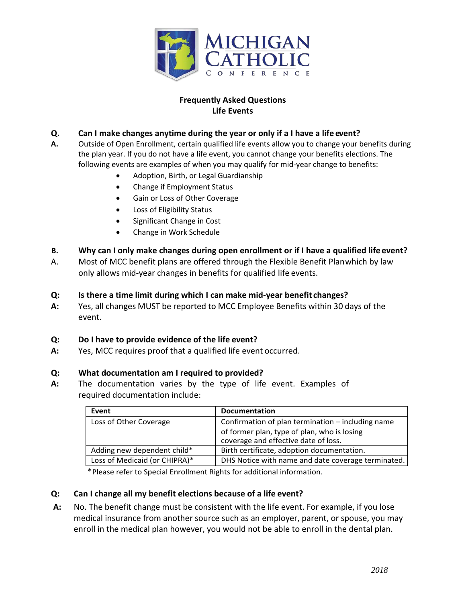

## **Frequently Asked Questions Life Events**

## **Q. Can I make changes anytime during the year or only if a I have a life event?**

- **A.** Outside of Open Enrollment, certain qualified life events allow you to change your benefits during the plan year. If you do not have a life event, you cannot change your benefits elections. The following events are examples of when you may qualify for mid-year change to benefits:
	- Adoption, Birth, or Legal Guardianship
	- Change if Employment Status
	- Gain or Loss of Other Coverage
	- Loss of Eligibility Status
	- Significant Change in Cost
	- Change in Work Schedule

# **B. Why can I only make changes during open enrollment or if I have a qualified life event?**

A. Most of MCC benefit plans are offered through the Flexible Benefit Planwhich by law only allows mid-year changes in benefits for qualified life events.

## **Q: Is there a time limit during which I can make mid-year benefit changes?**

**A:** Yes, all changes MUST be reported to MCC Employee Benefits within 30 days of the event.

## **Q: Do I have to provide evidence of the life event?**

**A:** Yes, MCC requires proof that a qualified life event occurred.

## **Q: What documentation am I required to provided?**

**A:** The documentation varies by the type of life event. Examples of required documentation include:

| Event                         | <b>Documentation</b>                               |
|-------------------------------|----------------------------------------------------|
| Loss of Other Coverage        | Confirmation of plan termination - including name  |
|                               | of former plan, type of plan, who is losing        |
|                               | coverage and effective date of loss.               |
| Adding new dependent child*   | Birth certificate, adoption documentation.         |
| Loss of Medicaid (or CHIPRA)* | DHS Notice with name and date coverage terminated. |
|                               |                                                    |

\*Please refer to Special Enrollment Rights for additional information.

## **Q: Can I change all my benefit elections because of a life event?**

**A:** No. The benefit change must be consistent with the life event. For example, if you lose medical insurance from another source such as an employer, parent, or spouse, you may enroll in the medical plan however, you would not be able to enroll in the dental plan.